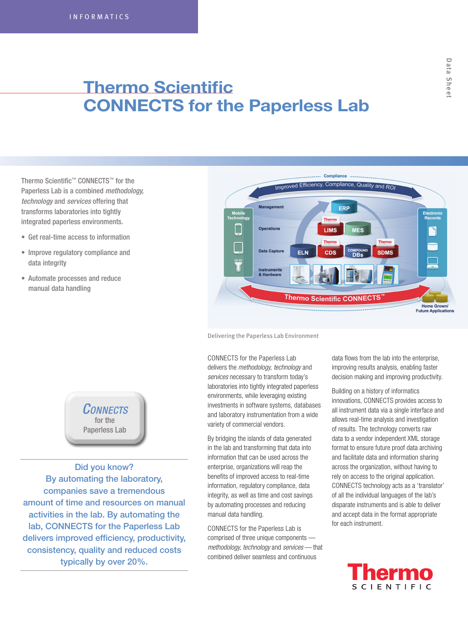# **Thermo Scientific CONNECTS for the Paperless Lab**

Thermo Scientific™ CONNECTS™ for the Paperless Lab is a combined *methodology, technology* and *services* offering that transforms laboratories into tightly integrated paperless environments.

- Get real-time access to information
- Improve regulatory compliance and data integrity
- • Automate processes and reduce manual data handling



Delivering the Paperless Lab Environment

CONNECTS for the Paperless Lab delivers the *methodology, technology* and *services* necessary to transform today's laboratories into tightly integrated paperless environments, while leveraging existing investments in software systems, databases and laboratory instrumentation from a wide variety of commercial vendors.

By bridging the islands of data generated in the lab and transforming that data into information that can be used across the enterprise, organizations will reap the benefits of improved access to real-time information, regulatory compliance, data integrity, as well as time and cost savings by automating processes and reducing manual data handling.

CONNECTS for the Paperless Lab is comprised of three unique components *methodology, technology* and *services* — that combined deliver seamless and continuous

data flows from the lab into the enterprise, improving results analysis, enabling faster decision making and improving productivity.

Building on a history of informatics innovations, CONNECTS provides access to all instrument data via a single interface and allows real-time analysis and investigation of results. The technology converts raw data to a vendor independent XML storage format to ensure future proof data archiving and facilitate data and information sharing across the organization, without having to rely on access to the original application. CONNECTS technology acts as a 'translator' of all the individual languages of the lab's disparate instruments and is able to deliver and accept data in the format appropriate for each instrument.





Did you know? By automating the laboratory, companies save a tremendous amount of time and resources on manual activities in the lab. By automating the lab, CONNECTS for the Paperless Lab delivers improved efficiency, productivity, consistency, quality and reduced costs typically by over 20%.